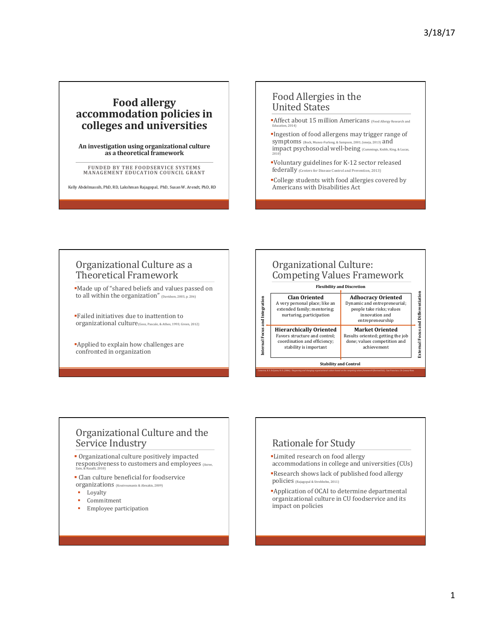## **Food allergy accommodation policies in** colleges and universities

An investigation using organizational culture **as a theoretical framework**

**FUNDED BY THE FOODSERVICE SYSTEMS MANAGEMENT EDUCATION COUNCIL GRANT** 

Kelly Abdelmassih, PhD, RD, Lakshman Rajagopal, PhD, Susan W. Arendt, PhD, RD

## Food Allergies in the United States

- **Affect about 15 million Americans** (Food Allergy Research and Education, 2014)
- §Ingestion of food allergens may trigger range of Symptoms (Bock, Munoz-Furlong, & Sampson, 2001; Joneja, 2013) and impact psychosocial well-being (Cummings, Knibb, King, & Lucas, 2010)
- §Voluntary guidelines for K-12 sector released federally (Centers for Disease Control and Prevention, 2013)
- •College students with food allergies covered by Americans with Disabilities Act

### Organizational Culture as a Theoretical Framework

§Made up of "shared beliefs and values passed on to all within the organization" (Davidson, 2003, p. 206)

§Failed initiatives due to inattention to organizational culture(Goss, Pascale, & Athos, 1993; Green, 2012)

§Applied to explain how challenges are confronted in organization



## Organizational Culture and the Service Industry

• Organizational culture positively impacted responsiveness to customers and employees (Asree, Zain, & Razalli, 2010)

- Clan culture beneficial for foodservice Organizations (Koutroumanis & Alexakis, 2009)
- § Loyalty
- § Commitment
- Employee participation

## Rationale for Study

- •Limited research on food allergy  $accommodations$  in college and universities  $(CUs)$
- §Research shows lack of published food allergy policies (Rajagopal & Strohbehn, 2011)
- **•Application of OCAI to determine departmental** organizational culture in CU foodservice and its impact on policies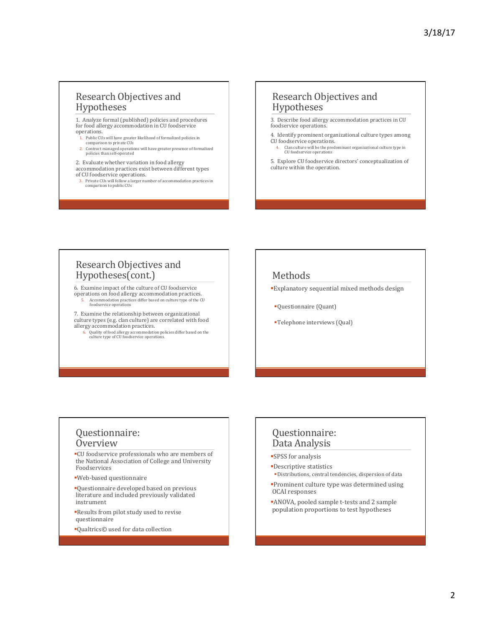## Research Objectives and Hypotheses

1. Analyze formal (published) policies and procedures for food allergy accommodation in CU foodservice operations. 

- 1. Public CUs will have greater likelihood of formalized policies in comparison to private CUs
- 2. Contract managed operations will have greater presence of formalized policies than self-operated
- 2. Evaluate whether variation in food allergy
- accommodation practices exist between different types
- of CU foodservice operations.
	- 3. Private CUs will follow a larger number of accommodation practices in comparison to public CUs

#### Research Objectives and Hypotheses

3. Describe food allergy accommodation practices in CU foodservice operations

4. Identify prominent organizational culture types among CU foodservice operations.

4. Clan culture will be the predominant organizational culture type in CU foodservice operations

5. Explore CU foodservice directors' conceptualization of culture within the operation.

## Research Objectives and Hypotheses(cont.)

6. Examine impact of the culture of CU foodservice operations on food allergy accommodation practices. Accommodation practices differ based on culture type of the CU .com......<br>odservice oper

7. Examine the relationship between organizational culture types (e.g. clan culture) are correlated with food allergy accommodation practices.

6. Quality of food allergy accommodation policies differ based on the culture type of CU foodservice operations.

### Methods

- §Explanatory sequential mixed methods design
- §Questionnaire (Quant)
- Telephone interviews (Qual)

## Questionnaire: Overview

§CU foodservice professionals who are members of the National Association of College and University Foodservices 

- §Web-based questionnaire
- §Questionnaire developed based on previous literature and included previously validated instrument
- §Results from pilot study used to revise questionnaire
- ■Qualtrics© used for data collection

#### Questionnaire: Data Analysis

■SPSS for analysis

- §Descriptive statistics
- §Distributions, central tendencies, dispersion of data
- **Prominent culture type was determined using** OCAI responses
- **ANOVA**, pooled sample t-tests and 2 sample population proportions to test hypotheses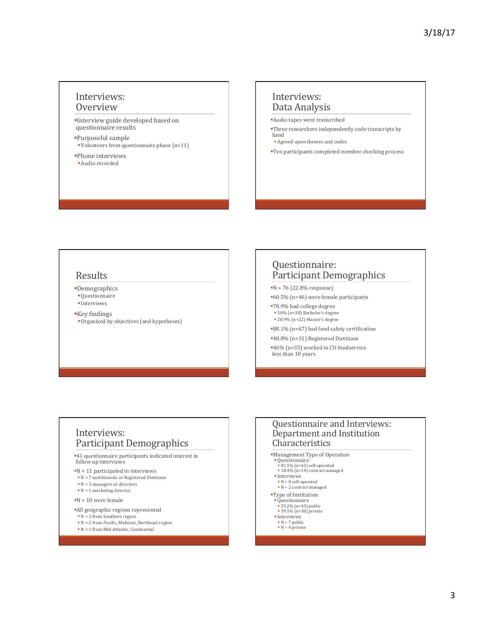#### Interviews: **Overview**

- §Interview guide developed based on questionnaire results
- §Purposeful sample
- Volunteers from questionnaire phase (n=11)
- •Phone interviews
- §Audio recorded

#### Interviews: Data Analysis

- §Audio tapes were transcribed
- **•Three researchers independently code transcripts by** hand
	- **•** Agreed upon themes and codes
- §Ten participants completed member checking process

#### Results

- §Demographics
- §Questionnaire
- § Interviews
- Key findings
- Organized by objectives (and hypotheses)

## Questionnaire: Participant Demographics

- $N = 76 (22.8\%$  response)
- ■60.5% (n=46) were female participants
- §78.9% had college degree
- § 50% (n=38) Bachelor's degree • 28.9% (n=22) Master's degree
- ■88.1% (n=67) had food safety certification
- §40.8% (n=31) Registered Dietitians
- ■46% (n=35) worked in CU foodservice  $\frac{10}{20}$  less than 10 years

#### Interviews: Participant Demographics

■41 questionnaire participants indicated interest in follow up interviews

- $N = 11$  participated in interviews
- $\blacksquare$  N = 7 nutritionists or Registered Dietitians
- $\bullet$  N = 3 managers or directors
- $\blacksquare$  N = 1 marketing director
- $\blacksquare$ N = 10 were female
- §All geographic regions represented
- $\bullet$  N = 3 from Southern region
- N = 2 from Pacific, Midwest, Northeast region
- N = 1 from Mid-Atlantic, Continental

#### Questionnaire and Interviews: Department and Institution Characteristics

- §Management Type of Operation
- § Questionnaire
- 81.5% (n=62) self-operated<br>■ 18.4% (n=14) contract managed
- § Interviews
- $\blacksquare$  N = 8 self-operated
- $\blacksquare$  N = 2 contract managed
- 
- ■Type of Institution<br>■ Questionnaire<br>■ 59.2% (n=45) public
- 
- 39.5% (n=30) private<br>■ Interviews
- $N = 7$  public<br>•  $N = 4$  private
-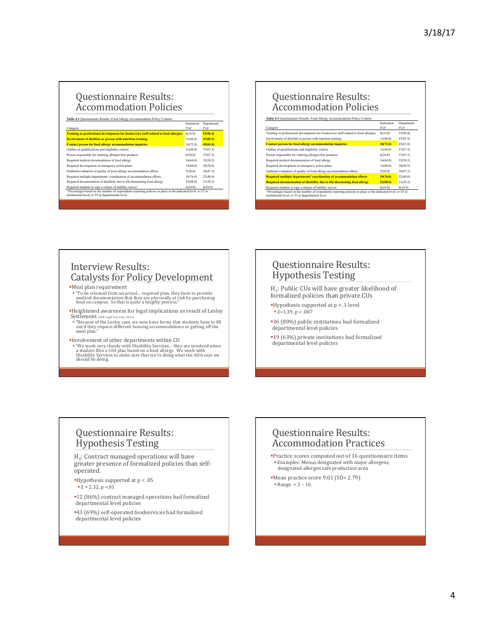# Questionnaire Results: Accommodation Policies

| Category                                                                                                                                                                                                                              | Institution<br>$(\%)^a$ | Department<br>$(%)^2$ |
|---------------------------------------------------------------------------------------------------------------------------------------------------------------------------------------------------------------------------------------|-------------------------|-----------------------|
| Training or professional development for foodservice staff related to food allergies                                                                                                                                                  | 4(16.0)                 | 53(96.4)              |
| <b>Involvement of dietitian or person with nutrition training</b>                                                                                                                                                                     | 11(44.0)                | 47(85.5)              |
| <b>Contact person for food allergy accommodation inquiries</b>                                                                                                                                                                        | 18(72.0)                | 45(81.8)              |
| Outline of qualifications and eligibility criteria                                                                                                                                                                                    | 11(44.0)                | 37(67.3)              |
| Person responsible for ordering allergen-free products                                                                                                                                                                                | 6(24.0)                 | 37(67.3)              |
| Required medical documentation of food allergy                                                                                                                                                                                        | 16(64.0)                | 32(58.2)              |
| Required development of emergency action plans                                                                                                                                                                                        | 15(60.0)                | 28(50.9)              |
| Outlined evaluation of quality of food allergy accommodation efforts                                                                                                                                                                  | 5(20.0)                 | 26(47.3)              |
| Required multiple departments' coordination of accommodation efforts                                                                                                                                                                  | 19(76.0)                | 22(40.0)              |
| Required documentation of disability due to life-threatening food allergy                                                                                                                                                             | 22(88.0)                | 21(38.2)              |
| Required students to sign a release of liability waiver<br><sup>2</sup> Percentages based on the number of respondents reporting policies in place at the indicated level: n=25 at<br>institutional level, n=55 at departmental level | 6(24.0)                 | 6(10.9)               |

#### Questionnaire Results: **Accommodation Policies**

Table 4.3 Questionnaire Results: Food Allergy Accommodation Policy Content

| Category                                                                                                                                                                   | Institution<br>$(%)^2$ | Department<br>$(\%)^2$ |
|----------------------------------------------------------------------------------------------------------------------------------------------------------------------------|------------------------|------------------------|
| Training or professional development for foodservice staff related to food allergies                                                                                       | 4(16.0)                | 53(96.4)               |
| Involvement of dietitian or person with nutrition training                                                                                                                 | 11(44.0)               | 47(85.5)               |
| <b>Contact person for food allergy accommodation inquiries</b>                                                                                                             | 18(72.0)               | 45(81.8)               |
| Outline of qualifications and eligibility criteria                                                                                                                         | 11(44.0)               | 37(67.3)               |
| Person responsible for ordering allergen-free products                                                                                                                     | 6(24.0)                | 37(67.3)               |
| Required medical documentation of food allergy                                                                                                                             | 16(64.0)               | 32(58.2)               |
| Required development of emergency action plans                                                                                                                             | 15(60.0)               | 28(50.9)               |
| Outlined evaluation of quality of food allergy accommodation efforts                                                                                                       | 5(20.0)                | 26(47.3)               |
| Required multiple departments' coordination of accommodation efforts                                                                                                       | 19(76.0)               | 22(40.0)               |
| Required documentation of disability due to life-threatening food allergy                                                                                                  | 22(88.0)               | 21(38.2)               |
| Required students to sign a release of liability waiver                                                                                                                    | 6(24.0)                | 6(10.9)                |
| <sup>a</sup> Percentages based on the number of respondents reporting policies in place at the indicated level: n=25 at<br>institutional level, n=55 at departmental level |                        |                        |

## Interview Results: **Catalysts for Policy Development**

§Meal plan requirement 

- "To be released from an actual... required plan, they have to provide<br>medical documentation that they are physically at risk by purchasing<br>food on campus. So that is quite a lengthy process."
- §Heightened awareness for legal implications as result of Lesley
- Settlement (HSE Legal Currents, 2013)<br>
 "Because of the Lesley case, we now have forms that students have to fill<br>
out if they request different housing accommodations or getting off the<br>
meal plan."
- §Involvement of other departments within CU
- " "We work very closely with Disability Services... they are involved when<br>a student files a 504 plan based on a food allergy. We work with<br>Disability Services to make sure that we're doing what the ADA says we<br>should be d

## Questionnaire Results: Hypothesis Testing

 $H_1$ : Public CUs will have greater likelihood of formalized policies than private CUs

- $\blacksquare$ Hypothesis supported at  $p < .1$  level  $= 7 = 1.39, p = .087$
- ■36 (80%) public institutions had formalized departmental level policies
- ■19 (63%) private institutions had formalized departmental level policies

## Questionnaire Results: Hypothesis Testing

 $H<sub>2</sub>$ : Contract managed operations will have greater presence of formalized policies than selfoperated. 

- $\blacksquare$  <br> Hypothesis supported at p < .05
- $\blacksquare$  Z = 2.32, p =.01
- §12 (86%) contract managed operations had formalized departmental level policies
- §43 (69%) self-operated foodservices had formalized departmental level policies

## Questionnaire Results: Accommodation Practices

- **Practice scores computed out of 16 questionnaire items Examples:** Menus designated with major allergens, designated allergen safe production area
- §Mean practice score 9.01 (SD= 2.79)  $\blacksquare$  Range = 3 – 16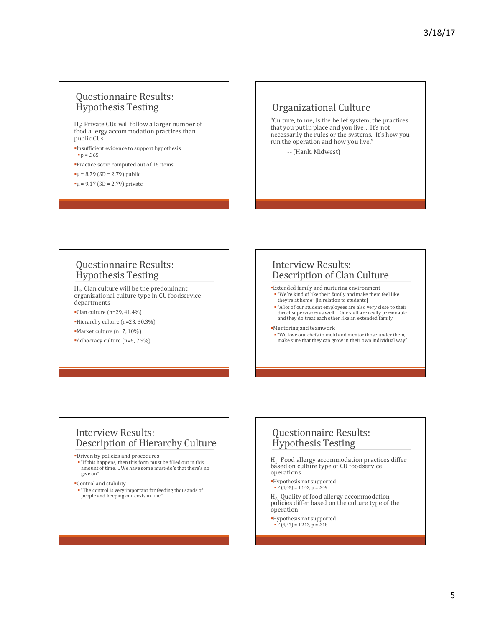## Questionnaire Results: Hypothesis Testing

H<sub>3</sub>: Private CUs will follow a larger number of food allergy accommodation practices than public CUs.

**Insufficient evidence to support hypothesis**  $p = .365$ 

- §Practice score computed out of 16 items
- $\mu$  = 8.79 (SD = 2.79) public
- $\mu$  = 9.17 (SD = 2.79) private

#### Organizational Culture

"Culture, to me, is the belief system, the practices that you put in place and you live... It's not necessarily the rules or the systems. It's how you run the operation and how you live."

-- (Hank, Midwest)

#### Questionnaire Results: Hypothesis Testing

 $H_4$ : Clan culture will be the predominant organizational culture type in CU foodservice departments 

- $\blacksquare$ Clan culture (n=29, 41.4%)
- §Hierarchy culture (n=23, 30.3%)
- §Market culture (n=7, 10%)
- Adhocracy culture (n=6, 7.9%)

#### Interview Results: Description of Clan Culture

- §Extended family and nurturing environment "We're kind of like their family and make them feel like they're at home" [in relation to students]
- "A lot of our student employees are also very close to their direct supervisors as well... Our staff are really personable<br>and they do treat each other like an extended family.

#### §Mentoring and teamwork

■ "We love our chefs to mold and mentor those under them, make sure that they can grow in their own individual way"

#### Interview Results: Description of Hierarchy Culture

§Driven by policies and procedures 

- "If this happens, then this form must be filled out in this amount of time.... We have some must-do's that there's no give on"
- §Control and stability

" "The control is very important for feeding thousands of people and keeping our costs in line."

### Questionnaire Results: Hypothesis Testing

 $H<sub>5</sub>$ : Food allergy accommodation practices differ based on culture type of CU foodservice operations 

- §Hypothesis not supported
- $\overline{F(4,45)} = 1.142$ ,  $p = .349$

 $H_6$ : Quality of food allergy accommodation policies differ based on the culture type of the operation 

- §Hypothesis not supported
- $\overline{F(4,47)} = 1.213, p = .318$